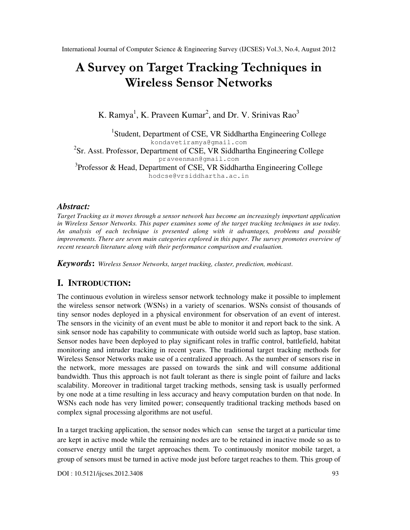# A Survey on Target Tracking Techniques in Wireless Sensor Networks

K. Ramya<sup>1</sup>, K. Praveen Kumar<sup>2</sup>, and Dr. V. Srinivas Rao<sup>3</sup>

<sup>1</sup>Student, Department of CSE, VR Siddhartha Engineering College kondavetiramya@gmail.com <sup>2</sup>Sr. Asst. Professor, Department of CSE, VR Siddhartha Engineering College praveenman@gmail.com  $3$ Professor & Head, Department of CSE, VR Siddhartha Engineering College hodcse@vrsiddhartha.ac.in

# *Abstract:*

*Target Tracking as it moves through a sensor network has become an increasingly important application in Wireless Sensor Networks. This paper examines some of the target tracking techniques in use today. An analysis of each technique is presented along with it advantages, problems and possible improvements. There are seven main categories explored in this paper. The survey promotes overview of recent research literature along with their performance comparison and evaluation.* 

*Keywords***:** *Wireless Sensor Networks, target tracking, cluster, prediction, mobicast*.

# **I. INTRODUCTION:**

The continuous evolution in wireless sensor network technology make it possible to implement the wireless sensor network (WSNs) in a variety of scenarios. WSNs consist of thousands of tiny sensor nodes deployed in a physical environment for observation of an event of interest. The sensors in the vicinity of an event must be able to monitor it and report back to the sink. A sink sensor node has capability to communicate with outside world such as laptop, base station. Sensor nodes have been deployed to play significant roles in traffic control, battlefield, habitat monitoring and intruder tracking in recent years. The traditional target tracking methods for Wireless Sensor Networks make use of a centralized approach. As the number of sensors rise in the network, more messages are passed on towards the sink and will consume additional bandwidth. Thus this approach is not fault tolerant as there is single point of failure and lacks scalability. Moreover in traditional target tracking methods, sensing task is usually performed by one node at a time resulting in less accuracy and heavy computation burden on that node. In WSNs each node has very limited power; consequently traditional tracking methods based on complex signal processing algorithms are not useful.

In a target tracking application, the sensor nodes which can sense the target at a particular time are kept in active mode while the remaining nodes are to be retained in inactive mode so as to conserve energy until the target approaches them. To continuously monitor mobile target, a group of sensors must be turned in active mode just before target reaches to them. This group of

DOI : 10.5121/ijcses.2012.3408 93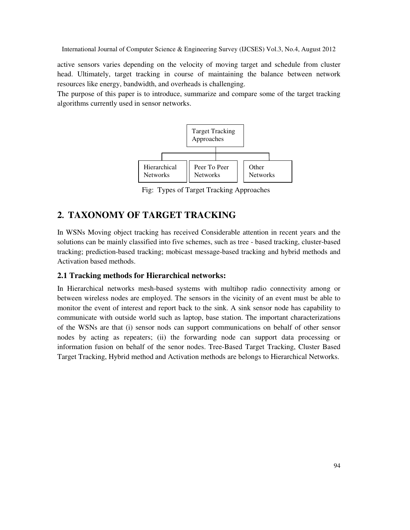active sensors varies depending on the velocity of moving target and schedule from cluster head. Ultimately, target tracking in course of maintaining the balance between network resources like energy, bandwidth, and overheads is challenging.

The purpose of this paper is to introduce, summarize and compare some of the target tracking algorithms currently used in sensor networks.



Fig: Types of Target Tracking Approaches

# **2. TAXONOMY OF TARGET TRACKING**

In WSNs Moving object tracking has received Considerable attention in recent years and the solutions can be mainly classified into five schemes, such as tree - based tracking, cluster-based tracking; prediction-based tracking; mobicast message-based tracking and hybrid methods and Activation based methods.

# **2.1 Tracking methods for Hierarchical networks:**

In Hierarchical networks mesh-based systems with multihop radio connectivity among or between wireless nodes are employed. The sensors in the vicinity of an event must be able to monitor the event of interest and report back to the sink. A sink sensor node has capability to communicate with outside world such as laptop, base station. The important characterizations of the WSNs are that (i) sensor nods can support communications on behalf of other sensor nodes by acting as repeaters; (ii) the forwarding node can support data processing or information fusion on behalf of the senor nodes. Tree-Based Target Tracking, Cluster Based Target Tracking, Hybrid method and Activation methods are belongs to Hierarchical Networks.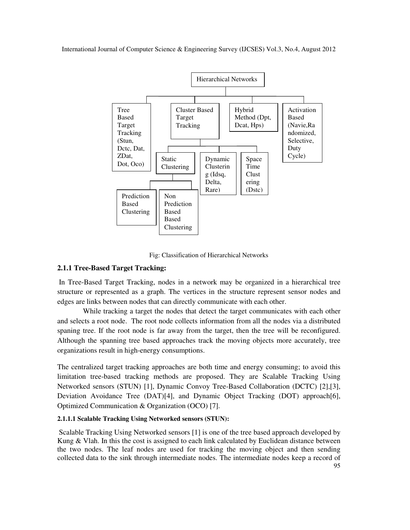

Fig: Classification of Hierarchical Networks

# **2.1.1 Tree-Based Target Tracking:**

In Tree-Based Target Tracking, nodes in a network may be organized in a hierarchical tree structure or represented as a graph. The vertices in the structure represent sensor nodes and edges are links between nodes that can directly communicate with each other.

 While tracking a target the nodes that detect the target communicates with each other and selects a root node. The root node collects information from all the nodes via a distributed spaning tree. If the root node is far away from the target, then the tree will be reconfigured. Although the spanning tree based approaches track the moving objects more accurately, tree organizations result in high-energy consumptions.

The centralized target tracking approaches are both time and energy consuming; to avoid this limitation tree-based tracking methods are proposed. They are Scalable Tracking Using Networked sensors (STUN) [1], Dynamic Convoy Tree-Based Collaboration (DCTC) [2],[3], Deviation Avoidance Tree (DAT)[4], and Dynamic Object Tracking (DOT) approach[6], Optimized Communication & Organization (OCO) [7].

## **2.1.1.1 Scalable Tracking Using Networked sensors (STUN):**

95 Scalable Tracking Using Networked sensors [1] is one of the tree based approach developed by Kung & Vlah. In this the cost is assigned to each link calculated by Euclidean distance between the two nodes. The leaf nodes are used for tracking the moving object and then sending collected data to the sink through intermediate nodes. The intermediate nodes keep a record of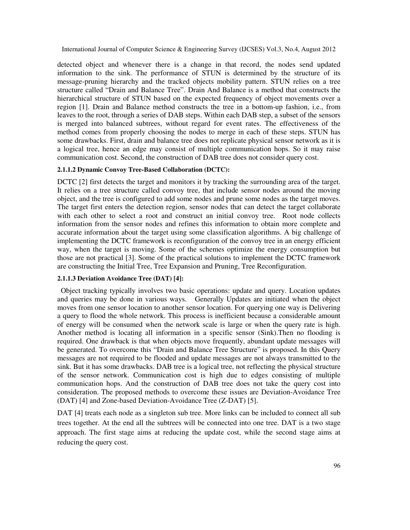detected object and whenever there is a change in that record, the nodes send updated information to the sink. The performance of STUN is determined by the structure of its message-pruning hierarchy and the tracked objects mobility pattern. STUN relies on a tree structure called "Drain and Balance Tree". Drain And Balance is a method that constructs the hierarchical structure of STUN based on the expected frequency of object movements over a region [1]. Drain and Balance method constructs the tree in a bottom-up fashion, i.e., from leaves to the root, through a series of DAB steps. Within each DAB step, a subset of the sensors is merged into balanced subtrees, without regard for event rates. The effectiveness of the method comes from properly choosing the nodes to merge in each of these steps. STUN has some drawbacks. First, drain and balance tree does not replicate physical sensor network as it is a logical tree, hence an edge may consist of multiple communication hops. So it may raise communication cost. Second, the construction of DAB tree does not consider query cost.

#### **2.1.1.2 Dynamic Convoy Tree-Based Collaboration (DCTC):**

DCTC [2] first detects the target and monitors it by tracking the surrounding area of the target. It relies on a tree structure called convoy tree, that include sensor nodes around the moving object, and the tree is configured to add some nodes and prune some nodes as the target moves. The target first enters the detection region, sensor nodes that can detect the target collaborate with each other to select a root and construct an initial convoy tree. Root node collects information from the sensor nodes and refines this information to obtain more complete and accurate information about the target using some classification algorithms. A big challenge of implementing the DCTC framework is reconfiguration of the convoy tree in an energy efficient way, when the target is moving. Some of the schemes optimize the energy consumption but those are not practical [3]. Some of the practical solutions to implement the DCTC framework are constructing the Initial Tree, Tree Expansion and Pruning, Tree Reconfiguration.

#### **2.1.1.3 Deviation Avoidance Tree (DAT) [4]:**

Object tracking typically involves two basic operations: update and query. Location updates and queries may be done in various ways. Generally Updates are initiated when the object moves from one sensor location to another sensor location. For querying one way is Delivering a query to flood the whole network. This process is inefficient because a considerable amount of energy will be consumed when the network scale is large or when the query rate is high. Another method is locating all information in a specific sensor (Sink).Then no flooding is required. One drawback is that when objects move frequently, abundant update messages will be generated. To overcome this "Drain and Balance Tree Structure" is proposed. In this Query messages are not required to be flooded and update messages are not always transmitted to the sink. But it has some drawbacks. DAB tree is a logical tree, not reflecting the physical structure of the sensor network. Communication cost is high due to edges consisting of multiple communication hops. And the construction of DAB tree does not take the query cost into consideration. The proposed methods to overcome these issues are Deviation-Avoidance Tree (DAT) [4] and Zone-based Deviation-Avoidance Tree (Z-DAT) [5].

DAT [4] treats each node as a singleton sub tree. More links can be included to connect all sub trees together. At the end all the subtrees will be connected into one tree. DAT is a two stage approach. The first stage aims at reducing the update cost, while the second stage aims at reducing the query cost.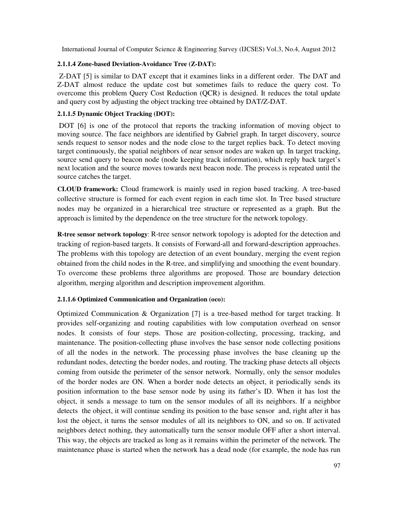#### **2.1.1.4 Zone-based Deviation-Avoidance Tree (Z-DAT):**

 Z-DAT [5] is similar to DAT except that it examines links in a different order. The DAT and Z-DAT almost reduce the update cost but sometimes fails to reduce the query cost. To overcome this problem Query Cost Reduction (QCR) is designed. It reduces the total update and query cost by adjusting the object tracking tree obtained by DAT/Z-DAT.

#### **2.1.1.5 Dynamic Object Tracking (DOT):**

DOT [6] is one of the protocol that reports the tracking information of moving object to moving source. The face neighbors are identified by Gabriel graph. In target discovery, source sends request to sensor nodes and the node close to the target replies back. To detect moving target continuously, the spatial neighbors of near sensor nodes are waken up. In target tracking, source send query to beacon node (node keeping track information), which reply back target's next location and the source moves towards next beacon node. The process is repeated until the source catches the target.

**CLOUD framework:** Cloud framework is mainly used in region based tracking. A tree-based collective structure is formed for each event region in each time slot. In Tree based structure nodes may be organized in a hierarchical tree structure or represented as a graph. But the approach is limited by the dependence on the tree structure for the network topology.

**R-tree sensor network topology**: R-tree sensor network topology is adopted for the detection and tracking of region-based targets. It consists of Forward-all and forward-description approaches. The problems with this topology are detection of an event boundary, merging the event region obtained from the child nodes in the R-tree, and simplifying and smoothing the event boundary. To overcome these problems three algorithms are proposed. Those are boundary detection algorithm, merging algorithm and description improvement algorithm.

#### **2.1.1.6 Optimized Communication and Organization (oco):**

Optimized Communication & Organization [7] is a tree-based method for target tracking. It provides self-organizing and routing capabilities with low computation overhead on sensor nodes. It consists of four steps. Those are position-collecting, processing, tracking, and maintenance. The position-collecting phase involves the base sensor node collecting positions of all the nodes in the network. The processing phase involves the base cleaning up the redundant nodes, detecting the border nodes, and routing. The tracking phase detects all objects coming from outside the perimeter of the sensor network. Normally, only the sensor modules of the border nodes are ON. When a border node detects an object, it periodically sends its position information to the base sensor node by using its father's ID. When it has lost the object, it sends a message to turn on the sensor modules of all its neighbors. If a neighbor detects the object, it will continue sending its position to the base sensor and, right after it has lost the object, it turns the sensor modules of all its neighbors to ON, and so on. If activated neighbors detect nothing, they automatically turn the sensor module OFF after a short interval. This way, the objects are tracked as long as it remains within the perimeter of the network. The maintenance phase is started when the network has a dead node (for example, the node has run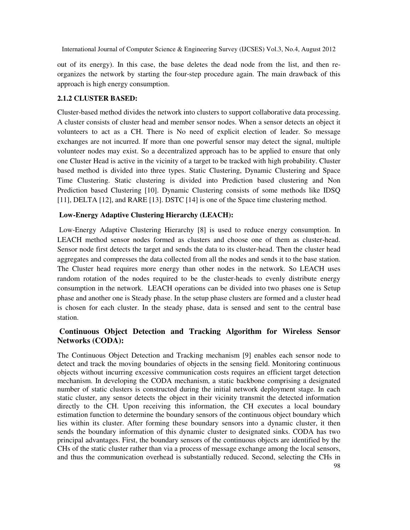out of its energy). In this case, the base deletes the dead node from the list, and then reorganizes the network by starting the four-step procedure again. The main drawback of this approach is high energy consumption.

#### **2.1.2 CLUSTER BASED:**

Cluster-based method divides the network into clusters to support collaborative data processing. A cluster consists of cluster head and member sensor nodes. When a sensor detects an object it volunteers to act as a CH. There is No need of explicit election of leader. So message exchanges are not incurred. If more than one powerful sensor may detect the signal, multiple volunteer nodes may exist. So a decentralized approach has to be applied to ensure that only one Cluster Head is active in the vicinity of a target to be tracked with high probability. Cluster based method is divided into three types. Static Clustering, Dynamic Clustering and Space Time Clustering. Static clustering is divided into Prediction based clustering and Non Prediction based Clustering [10]. Dynamic Clustering consists of some methods like IDSQ [11], DELTA [12], and RARE [13]. DSTC [14] is one of the Space time clustering method.

#### **Low-Energy Adaptive Clustering Hierarchy (LEACH):**

 Low-Energy Adaptive Clustering Hierarchy [8] is used to reduce energy consumption. In LEACH method sensor nodes formed as clusters and choose one of them as cluster-head. Sensor node first detects the target and sends the data to its cluster-head. Then the cluster head aggregates and compresses the data collected from all the nodes and sends it to the base station. The Cluster head requires more energy than other nodes in the network. So LEACH uses random rotation of the nodes required to be the cluster-heads to evenly distribute energy consumption in the network. LEACH operations can be divided into two phases one is Setup phase and another one is Steady phase. In the setup phase clusters are formed and a cluster head is chosen for each cluster. In the steady phase, data is sensed and sent to the central base station.

# **Continuous Object Detection and Tracking Algorithm for Wireless Sensor Networks (CODA):**

98 The Continuous Object Detection and Tracking mechanism [9] enables each sensor node to detect and track the moving boundaries of objects in the sensing field. Monitoring continuous objects without incurring excessive communication costs requires an efficient target detection mechanism. In developing the CODA mechanism, a static backbone comprising a designated number of static clusters is constructed during the initial network deployment stage. In each static cluster, any sensor detects the object in their vicinity transmit the detected information directly to the CH. Upon receiving this information, the CH executes a local boundary estimation function to determine the boundary sensors of the continuous object boundary which lies within its cluster. After forming these boundary sensors into a dynamic cluster, it then sends the boundary information of this dynamic cluster to designated sinks. CODA has two principal advantages. First, the boundary sensors of the continuous objects are identified by the CHs of the static cluster rather than via a process of message exchange among the local sensors, and thus the communication overhead is substantially reduced. Second, selecting the CHs in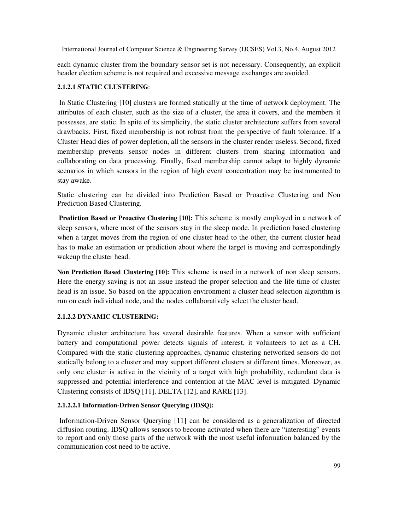each dynamic cluster from the boundary sensor set is not necessary. Consequently, an explicit header election scheme is not required and excessive message exchanges are avoided.

#### **2.1.2.1 STATIC CLUSTERING**:

 In Static Clustering [10] clusters are formed statically at the time of network deployment. The attributes of each cluster, such as the size of a cluster, the area it covers, and the members it possesses, are static. In spite of its simplicity, the static cluster architecture suffers from several drawbacks. First, fixed membership is not robust from the perspective of fault tolerance. If a Cluster Head dies of power depletion, all the sensors in the cluster render useless. Second, fixed membership prevents sensor nodes in different clusters from sharing information and collaborating on data processing. Finally, fixed membership cannot adapt to highly dynamic scenarios in which sensors in the region of high event concentration may be instrumented to stay awake.

Static clustering can be divided into Prediction Based or Proactive Clustering and Non Prediction Based Clustering.

 **Prediction Based or Proactive Clustering [10]:** This scheme is mostly employed in a network of sleep sensors, where most of the sensors stay in the sleep mode. In prediction based clustering when a target moves from the region of one cluster head to the other, the current cluster head has to make an estimation or prediction about where the target is moving and correspondingly wakeup the cluster head.

**Non Prediction Based Clustering [10]:** This scheme is used in a network of non sleep sensors. Here the energy saving is not an issue instead the proper selection and the life time of cluster head is an issue. So based on the application environment a cluster head selection algorithm is run on each individual node, and the nodes collaboratively select the cluster head.

## **2.1.2.2 DYNAMIC CLUSTERING:**

Dynamic cluster architecture has several desirable features. When a sensor with sufficient battery and computational power detects signals of interest, it volunteers to act as a CH. Compared with the static clustering approaches, dynamic clustering networked sensors do not statically belong to a cluster and may support different clusters at different times. Moreover, as only one cluster is active in the vicinity of a target with high probability, redundant data is suppressed and potential interference and contention at the MAC level is mitigated. Dynamic Clustering consists of IDSQ [11], DELTA [12], and RARE [13].

## **2.1.2.2.1 Information-Driven Sensor Querying (IDSQ):**

Information-Driven Sensor Querying [11] can be considered as a generalization of directed diffusion routing. IDSQ allows sensors to become activated when there are "interesting" events to report and only those parts of the network with the most useful information balanced by the communication cost need to be active.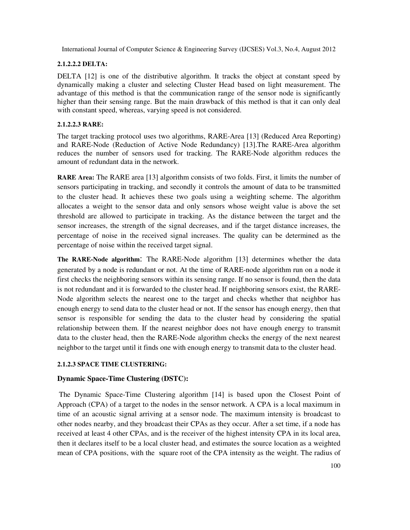## **2.1.2.2.2 DELTA:**

DELTA [12] is one of the distributive algorithm. It tracks the object at constant speed by dynamically making a cluster and selecting Cluster Head based on light measurement. The advantage of this method is that the communication range of the sensor node is significantly higher than their sensing range. But the main drawback of this method is that it can only deal with constant speed, whereas, varying speed is not considered.

# **2.1.2.2.3 RARE:**

The target tracking protocol uses two algorithms, RARE-Area [13] (Reduced Area Reporting) and RARE-Node (Reduction of Active Node Redundancy) [13].The RARE-Area algorithm reduces the number of sensors used for tracking. The RARE-Node algorithm reduces the amount of redundant data in the network.

**RARE Area:** The RARE area [13] algorithm consists of two folds. First, it limits the number of sensors participating in tracking, and secondly it controls the amount of data to be transmitted to the cluster head. It achieves these two goals using a weighting scheme. The algorithm allocates a weight to the sensor data and only sensors whose weight value is above the set threshold are allowed to participate in tracking. As the distance between the target and the sensor increases, the strength of the signal decreases, and if the target distance increases, the percentage of noise in the received signal increases. The quality can be determined as the percentage of noise within the received target signal.

**The RARE-Node algorithm**: The RARE-Node algorithm [13] determines whether the data generated by a node is redundant or not. At the time of RARE-node algorithm run on a node it first checks the neighboring sensors within its sensing range. If no sensor is found, then the data is not redundant and it is forwarded to the cluster head. If neighboring sensors exist, the RARE-Node algorithm selects the nearest one to the target and checks whether that neighbor has enough energy to send data to the cluster head or not. If the sensor has enough energy, then that sensor is responsible for sending the data to the cluster head by considering the spatial relationship between them. If the nearest neighbor does not have enough energy to transmit data to the cluster head, then the RARE-Node algorithm checks the energy of the next nearest neighbor to the target until it finds one with enough energy to transmit data to the cluster head.

# **2.1.2.3 SPACE TIME CLUSTERING:**

# **Dynamic Space-Time Clustering (DSTC):**

The Dynamic Space-Time Clustering algorithm [14] is based upon the Closest Point of Approach (CPA) of a target to the nodes in the sensor network. A CPA is a local maximum in time of an acoustic signal arriving at a sensor node. The maximum intensity is broadcast to other nodes nearby, and they broadcast their CPAs as they occur. After a set time, if a node has received at least 4 other CPAs, and is the receiver of the highest intensity CPA in its local area, then it declares itself to be a local cluster head, and estimates the source location as a weighted mean of CPA positions, with the square root of the CPA intensity as the weight. The radius of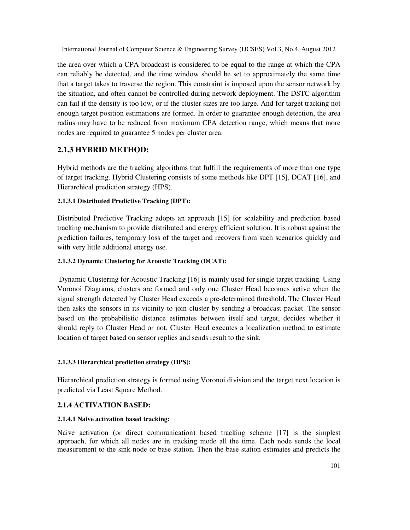the area over which a CPA broadcast is considered to be equal to the range at which the CPA can reliably be detected, and the time window should be set to approximately the same time that a target takes to traverse the region. This constraint is imposed upon the sensor network by the situation, and often cannot be controlled during network deployment. The DSTC algorithm can fail if the density is too low, or if the cluster sizes are too large. And for target tracking not enough target position estimations are formed. In order to guarantee enough detection, the area radius may have to be reduced from maximum CPA detection range, which means that more nodes are required to guarantee 5 nodes per cluster area.

# **2.1.3 HYBRID METHOD:**

Hybrid methods are the tracking algorithms that fulfill the requirements of more than one type of target tracking. Hybrid Clustering consists of some methods like DPT [15], DCAT [16], and Hierarchical prediction strategy (HPS).

# **2.1.3.1 Distributed Predictive Tracking (DPT):**

Distributed Predictive Tracking adopts an approach [15] for scalability and prediction based tracking mechanism to provide distributed and energy efficient solution. It is robust against the prediction failures, temporary loss of the target and recovers from such scenarios quickly and with very little additional energy use.

# **2.1.3.2 Dynamic Clustering for Acoustic Tracking (DCAT):**

Dynamic Clustering for Acoustic Tracking [16] is mainly used for single target tracking. Using Voronoi Diagrams, clusters are formed and only one Cluster Head becomes active when the signal strength detected by Cluster Head exceeds a pre-determined threshold. The Cluster Head then asks the sensors in its vicinity to join cluster by sending a broadcast packet. The sensor based on the probabilistic distance estimates between itself and target, decides whether it should reply to Cluster Head or not. Cluster Head executes a localization method to estimate location of target based on sensor replies and sends result to the sink.

# **2.1.3.3 Hierarchical prediction strategy (HPS):**

Hierarchical prediction strategy is formed using Voronoi division and the target next location is predicted via Least Square Method.

# **2.1.4 ACTIVATION BASED:**

## **2.1.4.1 Naive activation based tracking:**

Naive activation (or direct communication) based tracking scheme [17] is the simplest approach, for which all nodes are in tracking mode all the time. Each node sends the local measurement to the sink node or base station. Then the base station estimates and predicts the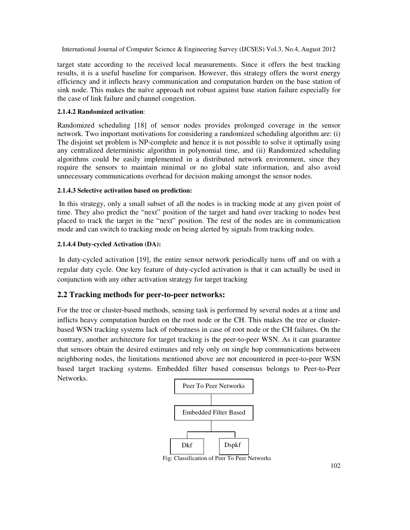target state according to the received local measurements. Since it offers the best tracking results, it is a useful baseline for comparison. However, this strategy offers the worst energy efficiency and it inflects heavy communication and computation burden on the base station of sink node. This makes the naïve approach not robust against base station failure especially for the case of link failure and channel congestion.

## **2.1.4.2 Randomized activation**:

Randomized scheduling [18] of sensor nodes provides prolonged coverage in the sensor network. Two important motivations for considering a randomized scheduling algorithm are: (i) The disjoint set problem is NP-complete and hence it is not possible to solve it optimally using any centralized deterministic algorithm in polynomial time, and (ii) Randomized scheduling algorithms could be easily implemented in a distributed network environment, since they require the sensors to maintain minimal or no global state information, and also avoid unnecessary communications overhead for decision making amongst the sensor nodes.

#### **2.1.4.3 Selective activation based on prediction:**

In this strategy, only a small subset of all the nodes is in tracking mode at any given point of time. They also predict the "next" position of the target and hand over tracking to nodes best placed to track the target in the "next" position. The rest of the nodes are in communication mode and can switch to tracking mode on being alerted by signals from tracking nodes.

## **2.1.4.4 Duty-cycled Activation (DA):**

In duty-cycled activation [19], the entire sensor network periodically turns off and on with a regular duty cycle. One key feature of duty-cycled activation is that it can actually be used in conjunction with any other activation strategy for target tracking

# **2.2 Tracking methods for peer-to-peer networks:**

For the tree or cluster-based methods, sensing task is performed by several nodes at a time and inflicts heavy computation burden on the root node or the CH. This makes the tree or clusterbased WSN tracking systems lack of robustness in case of root node or the CH failures. On the contrary, another architecture for target tracking is the peer-to-peer WSN. As it can guarantee that sensors obtain the desired estimates and rely only on single hop communications between neighboring nodes, the limitations mentioned above are not encountered in peer-to-peer WSN based target tracking systems. Embedded filter based consensus belongs to Peer-to-Peer Networks.



Fig: Classification of Peer To Peer Networks

102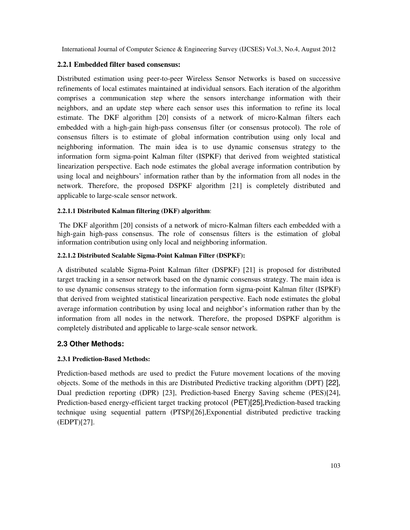# **2.2.1 Embedded filter based consensus:**

Distributed estimation using peer-to-peer Wireless Sensor Networks is based on successive refinements of local estimates maintained at individual sensors. Each iteration of the algorithm comprises a communication step where the sensors interchange information with their neighbors, and an update step where each sensor uses this information to refine its local estimate. The DKF algorithm [20] consists of a network of micro-Kalman filters each embedded with a high-gain high-pass consensus filter (or consensus protocol). The role of consensus filters is to estimate of global information contribution using only local and neighboring information. The main idea is to use dynamic consensus strategy to the information form sigma-point Kalman filter (ISPKF) that derived from weighted statistical linearization perspective. Each node estimates the global average information contribution by using local and neighbours' information rather than by the information from all nodes in the network. Therefore, the proposed DSPKF algorithm [21] is completely distributed and applicable to large-scale sensor network.

# **2.2.1.1 Distributed Kalman filtering (DKF) algorithm**:

 The DKF algorithm [20] consists of a network of micro-Kalman filters each embedded with a high-gain high-pass consensus. The role of consensus filters is the estimation of global information contribution using only local and neighboring information.

# **2.2.1.2 Distributed Scalable Sigma-Point Kalman Filter (DSPKF):**

A distributed scalable Sigma-Point Kalman filter (DSPKF) [21] is proposed for distributed target tracking in a sensor network based on the dynamic consensus strategy. The main idea is to use dynamic consensus strategy to the information form sigma-point Kalman filter (ISPKF) that derived from weighted statistical linearization perspective. Each node estimates the global average information contribution by using local and neighbor's information rather than by the information from all nodes in the network. Therefore, the proposed DSPKF algorithm is completely distributed and applicable to large-scale sensor network.

# **2.3 Other Methods:**

# **2.3.1 Prediction-Based Methods:**

Prediction-based methods are used to predict the Future movement locations of the moving objects. Some of the methods in this are Distributed Predictive tracking algorithm (DPT) [22], Dual prediction reporting (DPR) [23], Prediction-based Energy Saving scheme (PES)[24], Prediction-based energy-efficient target tracking protocol (PET)[25],Prediction-based tracking technique using sequential pattern (PTSP)[26],Exponential distributed predictive tracking (EDPT)[27].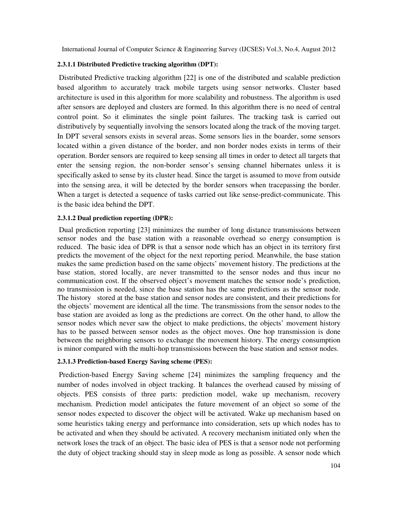#### **2.3.1.1 Distributed Predictive tracking algorithm (DPT):**

Distributed Predictive tracking algorithm [22] is one of the distributed and scalable prediction based algorithm to accurately track mobile targets using sensor networks. Cluster based architecture is used in this algorithm for more scalability and robustness. The algorithm is used after sensors are deployed and clusters are formed. In this algorithm there is no need of central control point. So it eliminates the single point failures. The tracking task is carried out distributively by sequentially involving the sensors located along the track of the moving target. In DPT several sensors exists in several areas. Some sensors lies in the boarder, some sensors located within a given distance of the border, and non border nodes exists in terms of their operation. Border sensors are required to keep sensing all times in order to detect all targets that enter the sensing region, the non-border sensor's sensing channel hibernates unless it is specifically asked to sense by its cluster head. Since the target is assumed to move from outside into the sensing area, it will be detected by the border sensors when tracepassing the border. When a target is detected a sequence of tasks carried out like sense-predict-communicate. This is the basic idea behind the DPT.

#### **2.3.1.2 Dual prediction reporting (DPR):**

Dual prediction reporting [23] minimizes the number of long distance transmissions between sensor nodes and the base station with a reasonable overhead so energy consumption is reduced. The basic idea of DPR is that a sensor node which has an object in its territory first predicts the movement of the object for the next reporting period. Meanwhile, the base station makes the same prediction based on the same objects' movement history. The predictions at the base station, stored locally, are never transmitted to the sensor nodes and thus incur no communication cost. If the observed object's movement matches the sensor node's prediction, no transmission is needed, since the base station has the same predictions as the sensor node. The history stored at the base station and sensor nodes are consistent, and their predictions for the objects' movement are identical all the time. The transmissions from the sensor nodes to the base station are avoided as long as the predictions are correct. On the other hand, to allow the sensor nodes which never saw the object to make predictions, the objects' movement history has to be passed between sensor nodes as the object moves. One hop transmission is done between the neighboring sensors to exchange the movement history. The energy consumption is minor compared with the multi-hop transmissions between the base station and sensor nodes.

#### **2.3.1.3 Prediction-based Energy Saving scheme (PES):**

Prediction-based Energy Saving scheme [24] minimizes the sampling frequency and the number of nodes involved in object tracking. It balances the overhead caused by missing of objects. PES consists of three parts: prediction model, wake up mechanism, recovery mechanism. Prediction model anticipates the future movement of an object so some of the sensor nodes expected to discover the object will be activated. Wake up mechanism based on some heuristics taking energy and performance into consideration, sets up which nodes has to be activated and when they should be activated. A recovery mechanism initiated only when the network loses the track of an object. The basic idea of PES is that a sensor node not performing the duty of object tracking should stay in sleep mode as long as possible. A sensor node which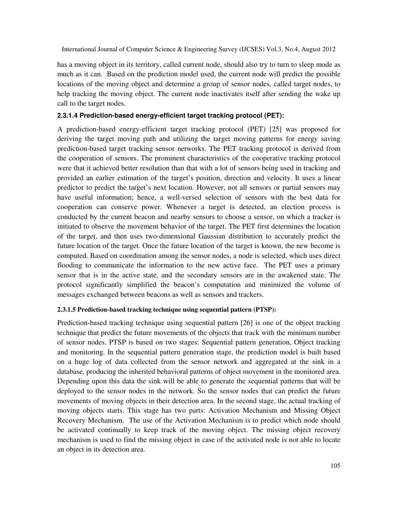has a moving object in its territory, called current node, should also try to turn to sleep mode as much as it can. Based on the prediction model used, the current node will predict the possible locations of the moving object and determine a group of sensor nodes, called target nodes, to help tracking the moving object. The current node inactivates itself after sending the wake up call to the target nodes.

# **2.3.1.4 Prediction-based energy-efficient target tracking protocol (PET):**

A prediction-based energy-efficient target tracking protocol (PET) [25] was proposed for deriving the target moving path and utilizing the target moving patterns for energy saving prediction-based target tracking sensor networks. The PET tracking protocol is derived from the cooperation of sensors. The prominent characteristics of the cooperative tracking protocol were that it achieved better resolution than that with a lot of sensors being used in tracking and provided an earlier estimation of the target's position, direction and velocity. It uses a linear predictor to predict the target's next location. However, not all sensors or partial sensors may have useful information; hence, a well-versed selection of sensors with the best data for cooperation can conserve power. Whenever a target is detected, an election process is conducted by the current beacon and nearby sensors to choose a sensor, on which a tracker is initiated to observe the movement behavior of the target. The PET first determines the location of the target, and then uses two-dimensional Gaussian distribution to accurately predict the future location of the target. Once the future location of the target is known, the new become is computed. Based on coordination among the sensor nodes, a node is selected, which uses direct flooding to communicate the information to the new active face. The PET uses a primary sensor that is in the active state, and the secondary sensors are in the awakened state. The protocol significantly simplified the beacon's computation and minimized the volume of messages exchanged between beacons as well as sensors and trackers.

# **2.3.1.5 Prediction-based tracking technique using sequential pattern (PTSP):**

Prediction-based tracking technique using sequential pattern [26] is one of the object tracking technique that predict the future movements of the objects that track with the minimum number of sensor nodes. PTSP is based on two stages: Sequential pattern generation, Object tracking and monitoring. In the sequential pattern generation stage, the prediction model is built based on a huge log of data collected from the sensor network and aggregated at the sink in a database, producing the inherited behavioral patterns of object movement in the monitored area. Depending upon this data the sink will be able to generate the sequential patterns that will be deployed to the sensor nodes in the network. So the sensor nodes that can predict the future movements of moving objects in their detection area. In the second stage, the actual tracking of moving objects starts. This stage has two parts: Activation Mechanism and Missing Object Recovery Mechanism. The use of the Activation Mechanism is to predict which node should be activated continually to keep track of the moving object. The missing object recovery mechanism is used to find the missing object in case of the activated node is not able to locate an object in its detection area.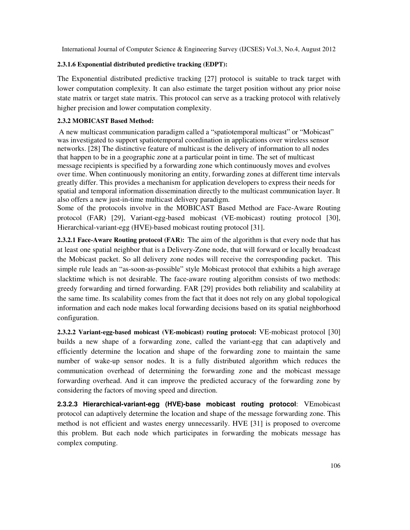## **2.3.1.6 Exponential distributed predictive tracking (EDPT):**

The Exponential distributed predictive tracking [27] protocol is suitable to track target with lower computation complexity. It can also estimate the target position without any prior noise state matrix or target state matrix. This protocol can serve as a tracking protocol with relatively higher precision and lower computation complexity.

# **2.3.2 MOBICAST Based Method:**

A new multicast communication paradigm called a "spatiotemporal multicast" or "Mobicast" was investigated to support spatiotemporal coordination in applications over wireless sensor networks. [28] The distinctive feature of multicast is the delivery of information to all nodes that happen to be in a geographic zone at a particular point in time. The set of multicast message recipients is specified by a forwarding zone which continuously moves and evolves over time. When continuously monitoring an entity, forwarding zones at different time intervals greatly differ. This provides a mechanism for application developers to express their needs for spatial and temporal information dissemination directly to the multicast communication layer. It also offers a new just-in-time multicast delivery paradigm.

Some of the protocols involve in the MOBICAST Based Method are Face-Aware Routing protocol (FAR) [29], Variant-egg-based mobicast (VE-mobicast) routing protocol [30], Hierarchical-variant-egg (HVE)-based mobicast routing protocol [31].

**2.3.2.1 Face-Aware Routing protocol (FAR):** The aim of the algorithm is that every node that has at least one spatial neighbor that is a Delivery-Zone node, that will forward or locally broadcast the Mobicast packet. So all delivery zone nodes will receive the corresponding packet. This simple rule leads an "as-soon-as-possible" style Mobicast protocol that exhibits a high average slacktime which is not desirable. The face-aware routing algorithm consists of two methods: greedy forwarding and tirned forwarding. FAR [29] provides both reliability and scalability at the same time. Its scalability comes from the fact that it does not rely on any global topological information and each node makes local forwarding decisions based on its spatial neighborhood configuration.

**2.3.2.2 Variant-egg-based mobicast (VE-mobicast) routing protocol:** VE-mobicast protocol [30] builds a new shape of a forwarding zone, called the variant-egg that can adaptively and efficiently determine the location and shape of the forwarding zone to maintain the same number of wake-up sensor nodes. It is a fully distributed algorithm which reduces the communication overhead of determining the forwarding zone and the mobicast message forwarding overhead. And it can improve the predicted accuracy of the forwarding zone by considering the factors of moving speed and direction.

**2.3.2.3 Hierarchical-variant-egg (HVE)-base mobicast routing protocol**: VEmobicast protocol can adaptively determine the location and shape of the message forwarding zone. This method is not efficient and wastes energy unnecessarily. HVE [31] is proposed to overcome this problem. But each node which participates in forwarding the mobicats message has complex computing.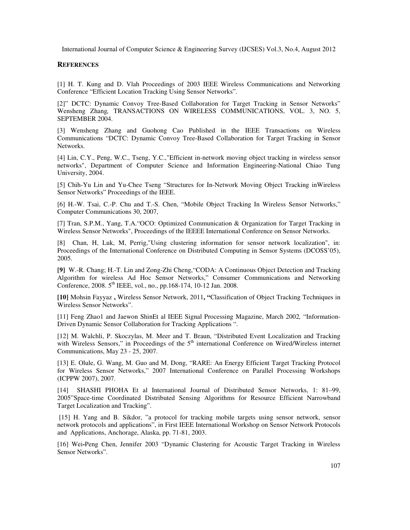#### **REFERENCES**

[1] H. T. Kung and D. Vlah Proceedings of 2003 IEEE Wireless Communications and Networking Conference "Efficient Location Tracking Using Sensor Networks".

[2]" DCTC: Dynamic Convoy Tree-Based Collaboration for Target Tracking in Sensor Networks" Wensheng Zhang*,* TRANSACTIONS ON WIRELESS COMMUNICATIONS, VOL. 3, NO. 5, SEPTEMBER 2004.

[3] Wensheng Zhang and Guohong Cao Published in the IEEE Transactions on Wireless Communications "DCTC: Dynamic Convoy Tree-Based Collaboration for Target Tracking in Sensor Networks.

[4] Lin, C.Y., Peng, W.C., Tseng, Y.C.,"Efficient in-network moving object tracking in wireless sensor networks", Department of Computer Science and Information Engineering-National Chiao Tung University, 2004.

[5] Chih-Yu Lin and Yu-Chee Tseng "Structures for In-Network Moving Object Tracking inWireless Sensor Networks" Proceedings of the IEEE.

[6] H.-W. Tsai, C.-P. Chu and T.-S. Chen, "Mobile Object Tracking In Wireless Sensor Networks," Computer Communications 30, 2007,

[7] Tran, S.P.M., Yang, T.A."OCO: Optimized Communication & Organization for Target Tracking in Wireless Sensor Networks", Proceedings of the IEEEE International Conference on Sensor Networks.

[8] Chan, H, Luk, M, Perrig,"Using clustering information for sensor network localization", in: Proceedings of the International Conference on Distributed Computing in Sensor Systems (DCOSS'05), 2005.

**[9]** W.-R. Chang; H.-T. Lin and Zong-Zhi Cheng,"CODA: A Continuous Object Detection and Tracking Algorithm for wireless Ad Hoc Sensor Networks," Consumer Communications and Networking Conference,  $2008$ .  $5^{th}$  IEEE, vol., no., pp.168-174, 10-12 Jan. 2008.

**[10]** Mohsin Fayyaz **,** Wireless Sensor Network, 2011**, "**Classification of Object Tracking Techniques in Wireless Sensor Networks".

[11] Feng Zhao1 and Jaewon ShinEt al IEEE Signal Processing Magazine, March 2002*,* "Information-Driven Dynamic Sensor Collaboration for Tracking Applications ".

[12] M. Walchli, P. Skoczylas, M. Meer and T. Braun, "Distributed Event Localization and Tracking with Wireless Sensors," in Proceedings of the 5<sup>th</sup> international Conference on Wired/Wireless internet Communications, May 23 - 25, 2007.

[13] E. Olule, G. Wang, M. Guo and M. Dong, "RARE: An Energy Efficient Target Tracking Protocol for Wireless Sensor Networks," 2007 International Conference on Parallel Processing Workshops (ICPPW 2007), 2007.

[14]SHASHI PHOHA Et al International Journal of Distributed Sensor Networks, 1: 81–99, 2005"Space-time Coordinated Distributed Sensing Algorithms for Resource Efficient Narrowband Target Localization and Tracking".

[15] H. Yang and B. Sikdor, "a protocol for tracking mobile targets using sensor network, sensor network protocols and applications", in First IEEE International Workshop on Sensor Network Protocols and Applications, Anchorage, Alaska, pp. 71-81, 2003.

[16] Wei**-**Peng Chen, Jennifer 2003 "Dynamic Clustering for Acoustic Target Tracking in Wireless Sensor Networks".